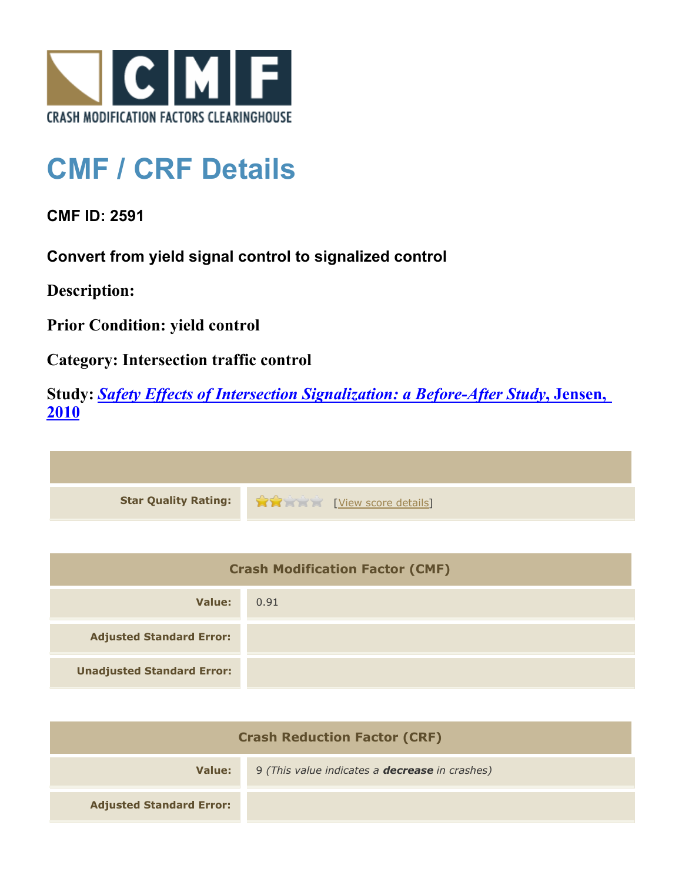

## **CMF / CRF Details**

**CMF ID: 2591**

**Convert from yield signal control to signalized control**

**Description:** 

**Prior Condition: yield control**

**Category: Intersection traffic control**

**Study:** *[Safety Effects of Intersection Signalization: a Before-After Study](http://www.cmfclearinghouse.org/study_detail.cfm?stid=170)***[, Jensen,](http://www.cmfclearinghouse.org/study_detail.cfm?stid=170) [2010](http://www.cmfclearinghouse.org/study_detail.cfm?stid=170)**



| <b>Crash Modification Factor (CMF)</b> |      |
|----------------------------------------|------|
| Value:                                 | 0.91 |
| <b>Adjusted Standard Error:</b>        |      |
| <b>Unadjusted Standard Error:</b>      |      |

| <b>Crash Reduction Factor (CRF)</b> |                                                       |
|-------------------------------------|-------------------------------------------------------|
| Value:                              | 9 (This value indicates a <b>decrease</b> in crashes) |
| <b>Adjusted Standard Error:</b>     |                                                       |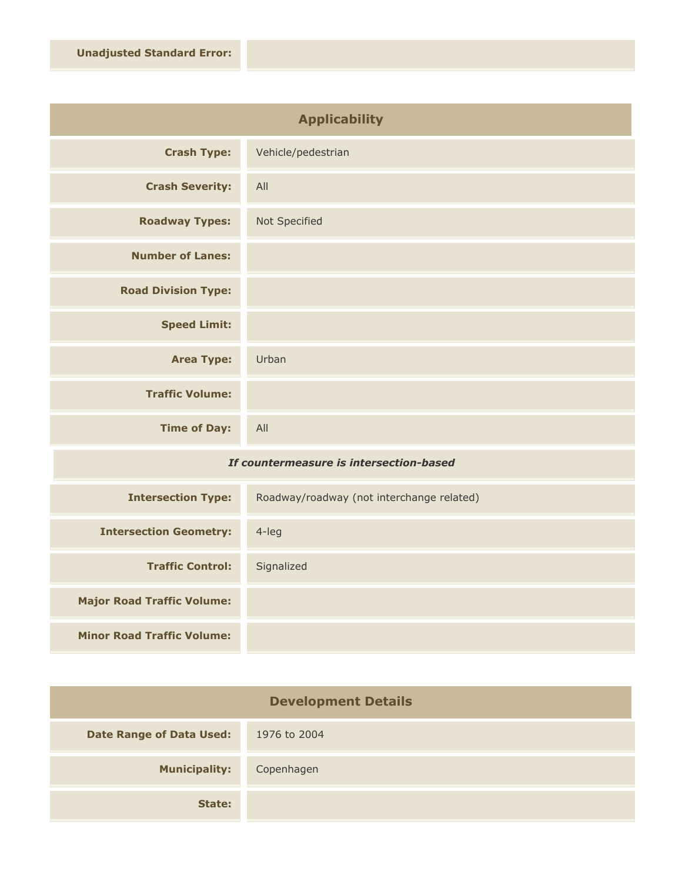| <b>Applicability</b>       |                    |
|----------------------------|--------------------|
| <b>Crash Type:</b>         | Vehicle/pedestrian |
| <b>Crash Severity:</b>     | All                |
| <b>Roadway Types:</b>      | Not Specified      |
| <b>Number of Lanes:</b>    |                    |
| <b>Road Division Type:</b> |                    |
| <b>Speed Limit:</b>        |                    |
| <b>Area Type:</b>          | Urban              |
| <b>Traffic Volume:</b>     |                    |
| <b>Time of Day:</b>        | All                |

## *If countermeasure is intersection-based*

| <b>Intersection Type:</b>         | Roadway/roadway (not interchange related) |
|-----------------------------------|-------------------------------------------|
| <b>Intersection Geometry:</b>     | $4$ -leg                                  |
| <b>Traffic Control:</b>           | Signalized                                |
| <b>Major Road Traffic Volume:</b> |                                           |
| <b>Minor Road Traffic Volume:</b> |                                           |

| <b>Development Details</b>      |              |
|---------------------------------|--------------|
| <b>Date Range of Data Used:</b> | 1976 to 2004 |
| <b>Municipality:</b>            | Copenhagen   |
| State:                          |              |